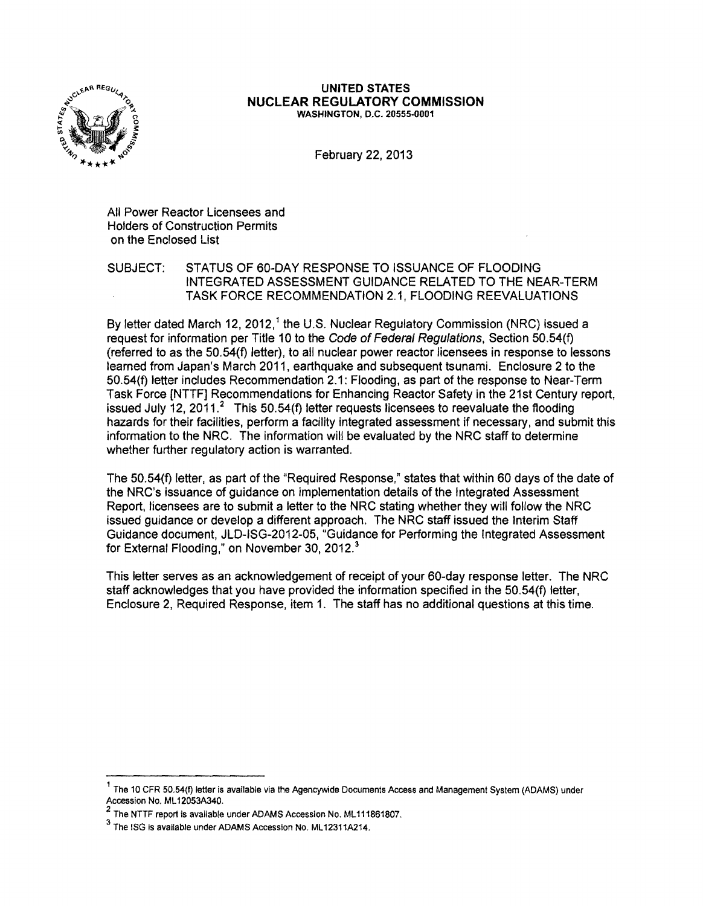

### **UNITED STATES NUCLEAR REGULATORY COMMISSION** WASHINGTON, D.C. 20555-0001

February 22, 2013

All Power Reactor Licensees and Holders of Construction Permits on the Enclosed List

SUBJECT: STATUS OF 60-DAY RESPONSE TO ISSUANCE OF FLOODING INTEGRATED ASSESSMENT GUIDANCE RELATED TO THE NEAR-TERM TASK FORCE RECOMMENDATION 2.1, FLOODING REEVALUATIONS

By letter dated March 12, 2012,<sup>1</sup> the U.S. Nuclear Regulatory Commission (NRC) issued a request for information per Title 10 to the Code of Federal Regulations, Section 50.54(f) (referred to as the 50.54(f) letter), to all nuclear power reactor licensees in response to lessons learned from Japan's March 2011, earthquake and subsequent tsunami. Enclosure 2 to the 50.54(f) letter includes Recommendation 2.1: Flooding, as part of the response to Near-Term Task Force [NTTF] Recommendations for Enhancing Reactor Safety in the 21st Century report, issued July 12, 2011.<sup>2</sup> This 50.54(f) letter requests licensees to reevaluate the flooding hazards for their facilities, perform a facility integrated assessment if necessary, and submit this information to the NRC. The information will be evaluated by the NRC staff to determine whether further regulatory action is warranted.

The 50.54(f) letter, as part of the "Required Response," states that within 60 days of the date of the NRC's issuance of guidance on implementation details of the Integrated Assessment Report, licensees are to submit a letter to the NRC stating whether they will follow the NRC issued guidance or develop a different approach. The NRC staff issued the Interim Staff Guidance document, JLD-ISG-2012-05, "Guidance for Performing the Integrated Assessment for External Flooding," on November 30, 2012.<sup>3</sup>

This letter serves as an acknowledgement of receipt of your 60-day response letter. The NRC staff acknowledges that you have provided the information specified in the 50.54(f) letter, Enclosure 2, Required Response, item 1. The staff has no additional questions at this time.

<sup>1</sup> The 10 CFR 50.54(f) letter is available via the Agencywide Documents Access and Management System (ADAMS) under Accession No. ML12053A340.

<sup>&</sup>lt;sup>2</sup> The NTTF report is available under ADAMS Accession No. ML111861807.

<sup>3</sup> The ISG is available under ADAMS Accession No. ML12311A214.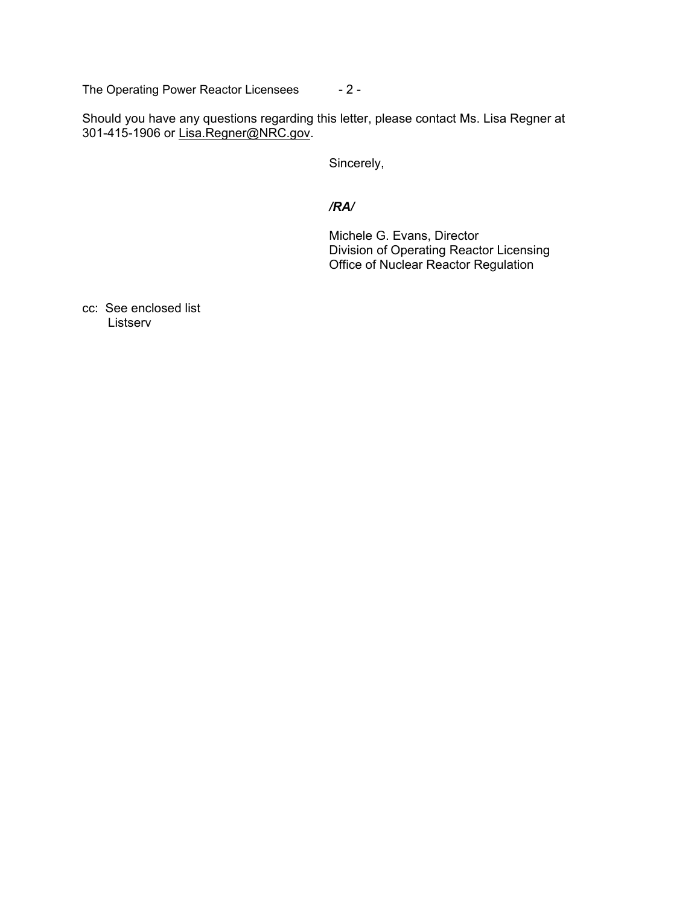The Operating Power Reactor Licensees - 2 -

Should you have any questions regarding this letter, please contact Ms. Lisa Regner at 301-415-1906 or Lisa.Regner@NRC.gov.

Sincerely,

# */RA/*

 Michele G. Evans, Director Division of Operating Reactor Licensing Office of Nuclear Reactor Regulation

cc: See enclosed list Listserv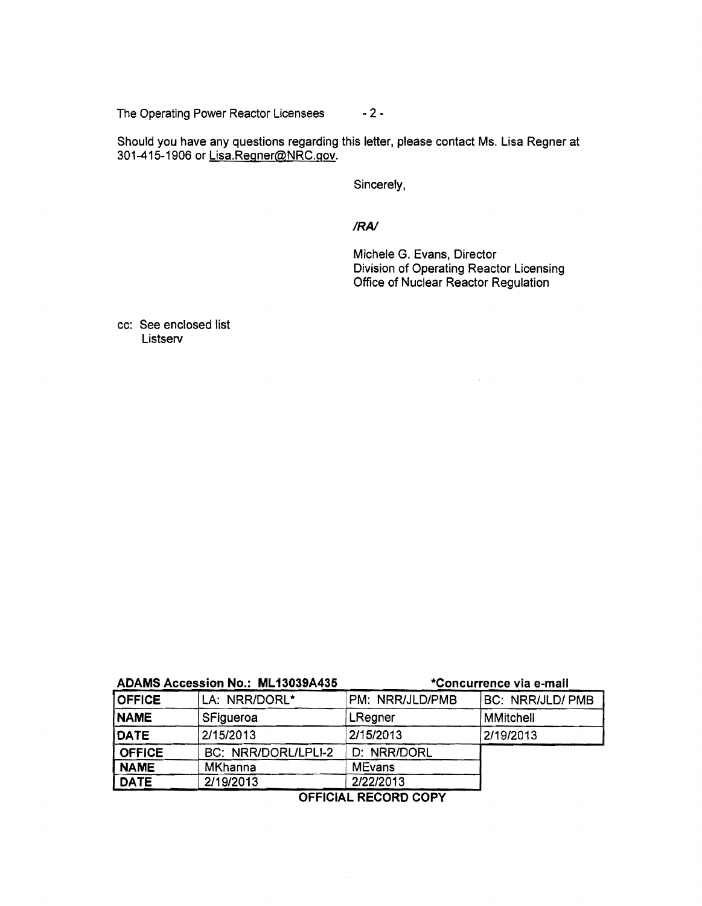The Operating Power Reactor Licensees - 2 -

Should you have any questions regarding this letter, please contact Ms. Lisa Regner at 301-415-1906 or <u>Lisa.Regner@NRC.gov</u>.

Sincerely,

*IRA!* 

Michele G. Evans, Director Division of Operating Reactor Licensing Office of Nuclear Reactor Regulation

cc: See enclosed list Listserv

| ADAMS Accession No.: ML13039A435 |                     | *Concurrence via e-mail |                         |
|----------------------------------|---------------------|-------------------------|-------------------------|
| <b>OFFICE</b>                    | LA: NRR/DORL*       | PM: NRR/JLD/PMB         | <b>BC: NRR/JLD/ PMB</b> |
| <b>NAME</b>                      | SFigueroa           | LRegner                 | <b>MMitchell</b>        |
| DATE                             | 2/15/2013           | 2/15/2013               | 2/19/2013               |
| <b>OFFICE</b>                    | BC: NRR/DORL/LPLI-2 | D: NRR/DORL             |                         |
| <b>NAME</b>                      | <b>MKhanna</b>      | <b>MEvans</b>           |                         |
| <b>DATE</b>                      | 2/19/2013           | 2/22/2013               |                         |

OFFICIAL RECORD COPY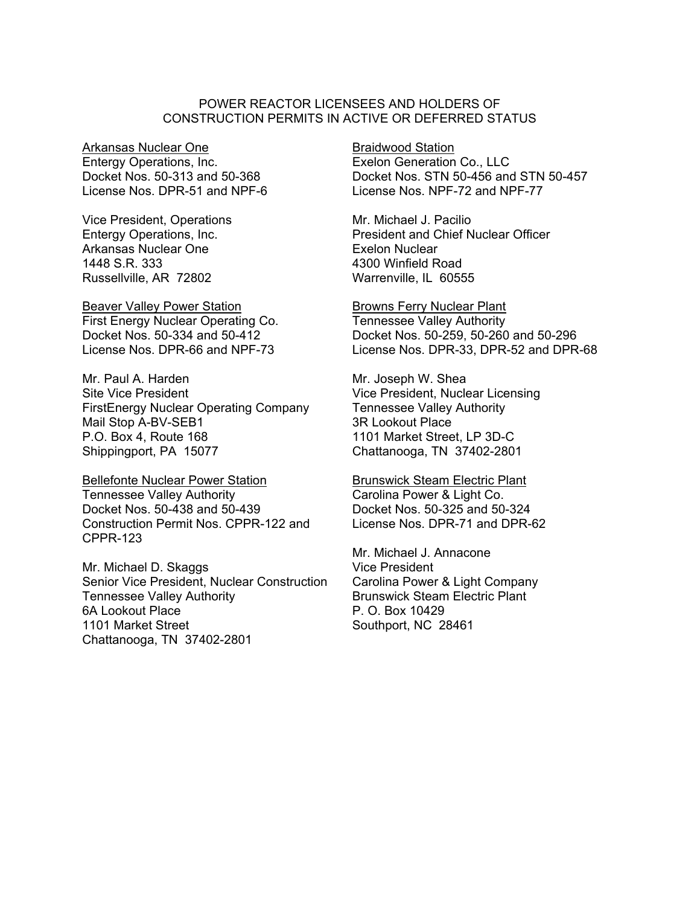## POWER REACTOR LICENSEES AND HOLDERS OF CONSTRUCTION PERMITS IN ACTIVE OR DEFERRED STATUS

Arkansas Nuclear One Entergy Operations, Inc. Docket Nos. 50-313 and 50-368 License Nos. DPR-51 and NPF-6

Vice President, Operations Entergy Operations, Inc. Arkansas Nuclear One 1448 S.R. 333 Russellville, AR 72802

Beaver Valley Power Station First Energy Nuclear Operating Co. Docket Nos. 50-334 and 50-412 License Nos. DPR-66 and NPF-73

Mr. Paul A. Harden Site Vice President FirstEnergy Nuclear Operating Company Mail Stop A-BV-SEB1 P.O. Box 4, Route 168 Shippingport, PA 15077

Bellefonte Nuclear Power Station Tennessee Valley Authority Docket Nos. 50-438 and 50-439 Construction Permit Nos. CPPR-122 and CPPR-123

Mr. Michael D. Skaggs Senior Vice President, Nuclear Construction Tennessee Valley Authority 6A Lookout Place 1101 Market Street Chattanooga, TN 37402-2801

Braidwood Station Exelon Generation Co., LLC Docket Nos. STN 50-456 and STN 50-457 License Nos. NPF-72 and NPF-77

Mr. Michael J. Pacilio President and Chief Nuclear Officer Exelon Nuclear 4300 Winfield Road Warrenville, IL 60555

Browns Ferry Nuclear Plant Tennessee Valley Authority Docket Nos. 50-259, 50-260 and 50-296 License Nos. DPR-33, DPR-52 and DPR-68

Mr. Joseph W. Shea Vice President, Nuclear Licensing Tennessee Valley Authority 3R Lookout Place 1101 Market Street, LP 3D-C Chattanooga, TN 37402-2801

Brunswick Steam Electric Plant Carolina Power & Light Co. Docket Nos. 50-325 and 50-324 License Nos. DPR-71 and DPR-62

Mr. Michael J. Annacone Vice President Carolina Power & Light Company Brunswick Steam Electric Plant P. O. Box 10429 Southport, NC 28461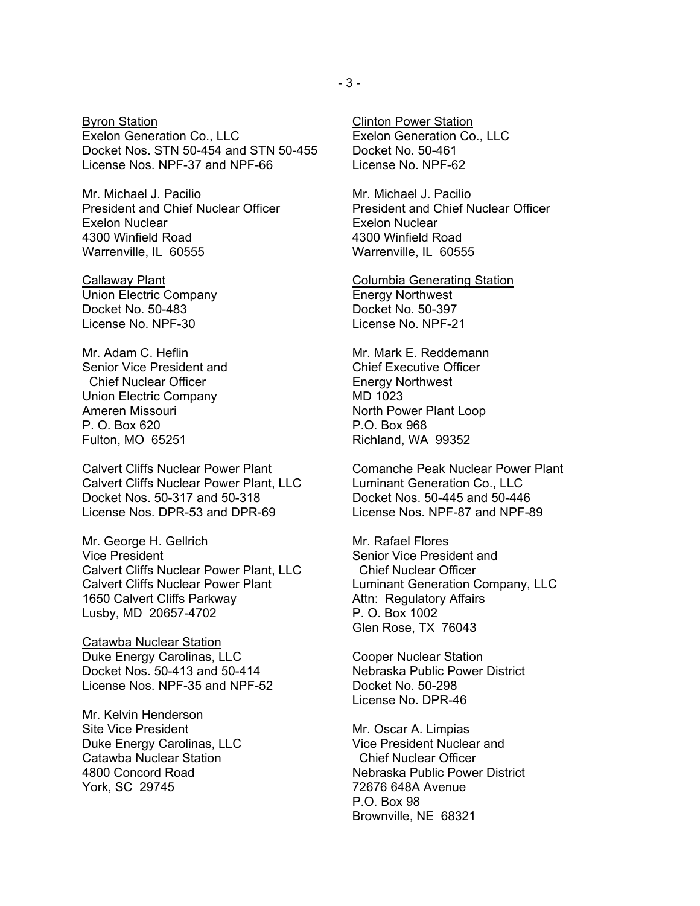Byron Station Exelon Generation Co., LLC Docket Nos. STN 50-454 and STN 50-455 License Nos. NPF-37 and NPF-66

Mr. Michael J. Pacilio President and Chief Nuclear Officer Exelon Nuclear 4300 Winfield Road Warrenville, IL 60555

Callaway Plant Union Electric Company Docket No. 50-483 License No. NPF-30

Mr. Adam C. Heflin Senior Vice President and Chief Nuclear Officer Union Electric Company Ameren Missouri P. O. Box 620 Fulton, MO 65251

Calvert Cliffs Nuclear Power Plant Calvert Cliffs Nuclear Power Plant, LLC Docket Nos. 50-317 and 50-318 License Nos. DPR-53 and DPR-69

Mr. George H. Gellrich Vice President Calvert Cliffs Nuclear Power Plant, LLC Calvert Cliffs Nuclear Power Plant 1650 Calvert Cliffs Parkway Lusby, MD 20657-4702

Catawba Nuclear Station Duke Energy Carolinas, LLC Docket Nos. 50-413 and 50-414 License Nos. NPF-35 and NPF-52

Mr. Kelvin Henderson Site Vice President Duke Energy Carolinas, LLC Catawba Nuclear Station 4800 Concord Road York, SC 29745

Clinton Power Station Exelon Generation Co., LLC Docket No. 50-461 License No. NPF-62

Mr. Michael J. Pacilio President and Chief Nuclear Officer Exelon Nuclear 4300 Winfield Road Warrenville, IL 60555

Columbia Generating Station Energy Northwest Docket No. 50-397 License No. NPF-21

Mr. Mark E. Reddemann Chief Executive Officer Energy Northwest MD 1023 North Power Plant Loop P.O. Box 968 Richland, WA 99352

Comanche Peak Nuclear Power Plant Luminant Generation Co., LLC Docket Nos. 50-445 and 50-446 License Nos. NPF-87 and NPF-89

Mr. Rafael Flores Senior Vice President and Chief Nuclear Officer Luminant Generation Company, LLC Attn: Regulatory Affairs P. O. Box 1002 Glen Rose, TX 76043

Cooper Nuclear Station Nebraska Public Power District Docket No. 50-298 License No. DPR-46

Mr. Oscar A. Limpias Vice President Nuclear and Chief Nuclear Officer Nebraska Public Power District 72676 648A Avenue P.O. Box 98 Brownville, NE 68321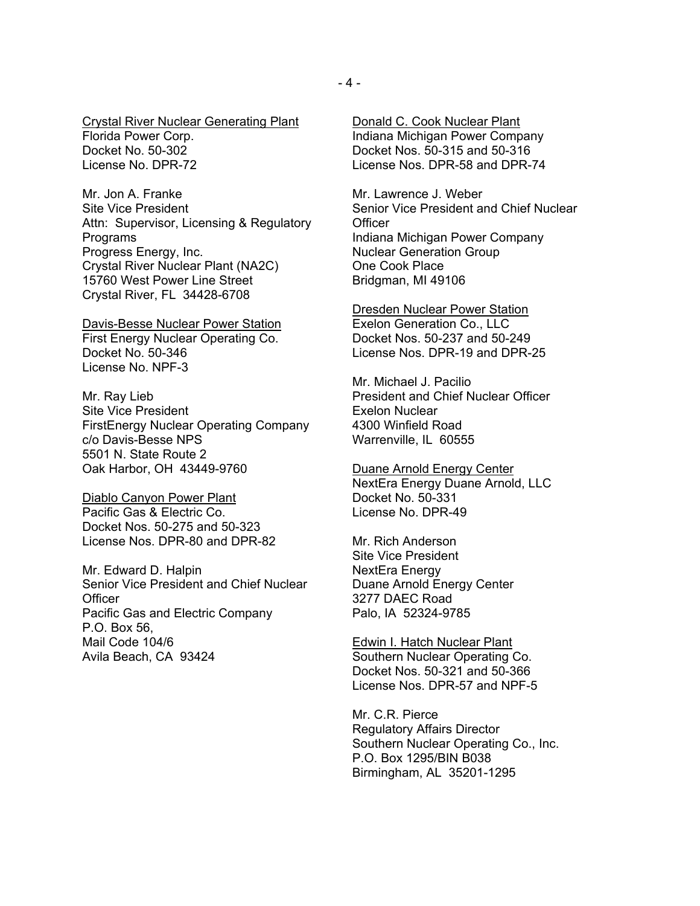Crystal River Nuclear Generating Plant Florida Power Corp. Docket No. 50-302 License No. DPR-72

Mr. Jon A. Franke Site Vice President Attn: Supervisor, Licensing & Regulatory Programs Progress Energy, Inc. Crystal River Nuclear Plant (NA2C) 15760 West Power Line Street Crystal River, FL 34428-6708

Davis-Besse Nuclear Power Station First Energy Nuclear Operating Co. Docket No. 50-346 License No. NPF-3

Mr. Ray Lieb Site Vice President FirstEnergy Nuclear Operating Company c/o Davis-Besse NPS 5501 N. State Route 2 Oak Harbor, OH 43449-9760

Diablo Canyon Power Plant Pacific Gas & Electric Co. Docket Nos. 50-275 and 50-323 License Nos. DPR-80 and DPR-82

Mr. Edward D. Halpin Senior Vice President and Chief Nuclear **Officer** Pacific Gas and Electric Company P.O. Box 56, Mail Code 104/6 Avila Beach, CA 93424

Donald C. Cook Nuclear Plant Indiana Michigan Power Company Docket Nos. 50-315 and 50-316 License Nos. DPR-58 and DPR-74

Mr. Lawrence J. Weber Senior Vice President and Chief Nuclear **Officer** Indiana Michigan Power Company Nuclear Generation Group One Cook Place Bridgman, MI 49106

Dresden Nuclear Power Station Exelon Generation Co., LLC Docket Nos. 50-237 and 50-249 License Nos. DPR-19 and DPR-25

Mr. Michael J. Pacilio President and Chief Nuclear Officer Exelon Nuclear 4300 Winfield Road Warrenville, IL 60555

Duane Arnold Energy Center NextEra Energy Duane Arnold, LLC Docket No. 50-331 License No. DPR-49

Mr. Rich Anderson Site Vice President NextEra Energy Duane Arnold Energy Center 3277 DAEC Road Palo, IA 52324-9785

Edwin I. Hatch Nuclear Plant Southern Nuclear Operating Co. Docket Nos. 50-321 and 50-366 License Nos. DPR-57 and NPF-5

Mr. C.R. Pierce Regulatory Affairs Director Southern Nuclear Operating Co., Inc. P.O. Box 1295/BIN B038 Birmingham, AL 35201-1295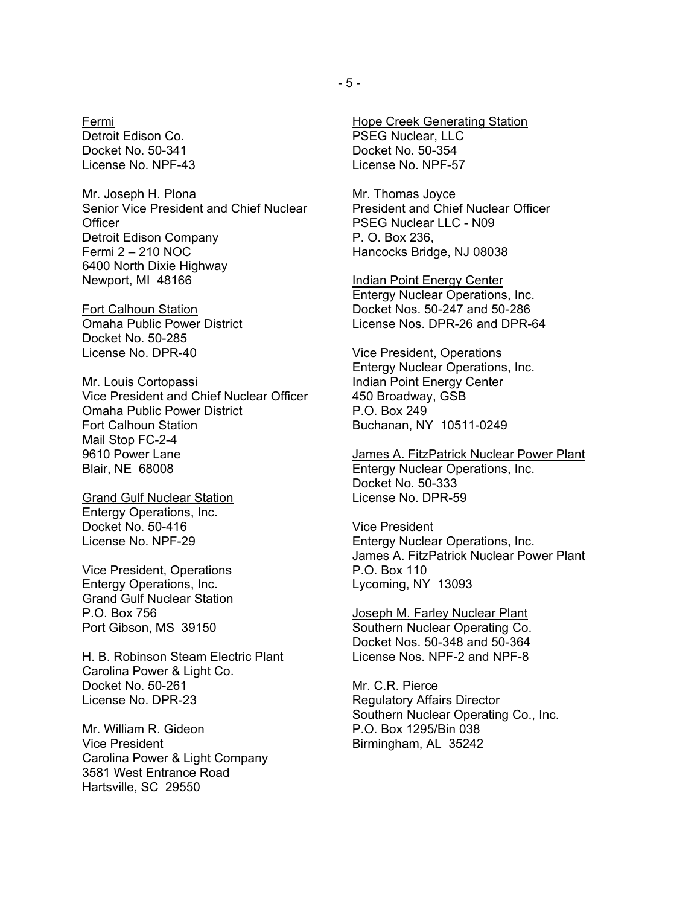Fermi Detroit Edison Co. Docket No. 50-341 License No. NPF-43

Mr. Joseph H. Plona Senior Vice President and Chief Nuclear **Officer** Detroit Edison Company Fermi 2 – 210 NOC 6400 North Dixie Highway Newport, MI 48166

Fort Calhoun Station Omaha Public Power District Docket No. 50-285 License No. DPR-40

Mr. Louis Cortopassi Vice President and Chief Nuclear Officer Omaha Public Power District Fort Calhoun Station Mail Stop FC-2-4 9610 Power Lane Blair, NE 68008

Grand Gulf Nuclear Station Entergy Operations, Inc. Docket No. 50-416 License No. NPF-29

Vice President, Operations Entergy Operations, Inc. Grand Gulf Nuclear Station P.O. Box 756 Port Gibson, MS 39150

H. B. Robinson Steam Electric Plant Carolina Power & Light Co. Docket No. 50-261 License No. DPR-23

Mr. William R. Gideon Vice President Carolina Power & Light Company 3581 West Entrance Road Hartsville, SC 29550

Hope Creek Generating Station PSEG Nuclear, LLC Docket No. 50-354 License No. NPF-57

Mr. Thomas Joyce President and Chief Nuclear Officer PSEG Nuclear LLC - N09 P. O. Box 236, Hancocks Bridge, NJ 08038

Indian Point Energy Center Entergy Nuclear Operations, Inc. Docket Nos. 50-247 and 50-286 License Nos. DPR-26 and DPR-64

Vice President, Operations Entergy Nuclear Operations, Inc. Indian Point Energy Center 450 Broadway, GSB P.O. Box 249 Buchanan, NY 10511-0249

James A. FitzPatrick Nuclear Power Plant Entergy Nuclear Operations, Inc. Docket No. 50-333 License No. DPR-59

Vice President Entergy Nuclear Operations, Inc. James A. FitzPatrick Nuclear Power Plant P.O. Box 110 Lycoming, NY 13093

Joseph M. Farley Nuclear Plant Southern Nuclear Operating Co. Docket Nos. 50-348 and 50-364 License Nos. NPF-2 and NPF-8

Mr. C.R. Pierce Regulatory Affairs Director Southern Nuclear Operating Co., Inc. P.O. Box 1295/Bin 038 Birmingham, AL 35242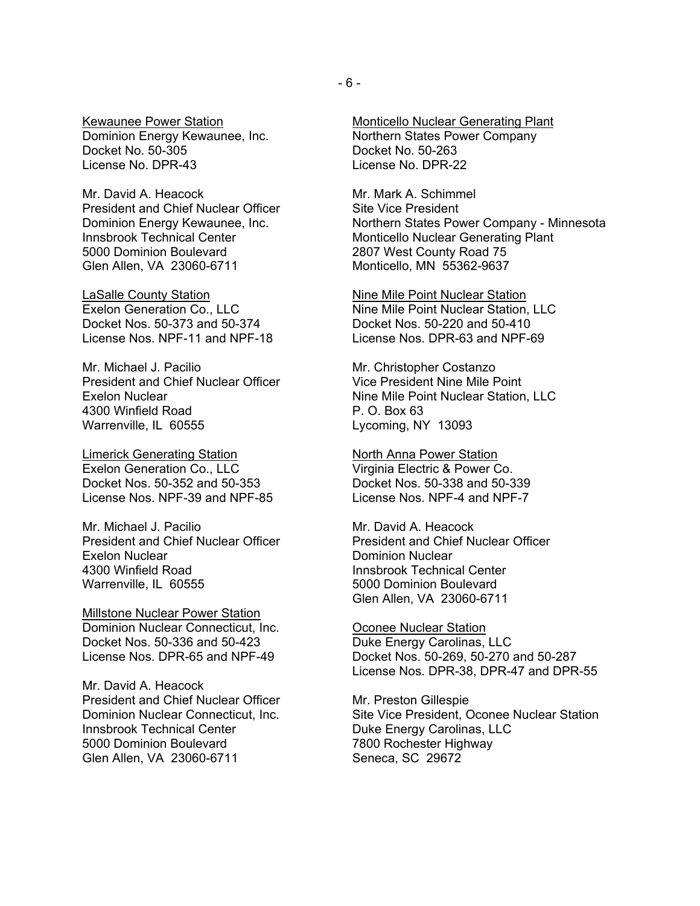Kewaunee Power Station Dominion Energy Kewaunee, Inc. Docket No. 50-305 License No. DPR-43

Mr. David A. Heacock President and Chief Nuclear Officer Dominion Energy Kewaunee, Inc. Innsbrook Technical Center 5000 Dominion Boulevard Glen Allen, VA 23060-6711

LaSalle County Station Exelon Generation Co., LLC Docket Nos. 50-373 and 50-374 License Nos. NPF-11 and NPF-18

Mr. Michael J. Pacilio President and Chief Nuclear Officer Exelon Nuclear 4300 Winfield Road Warrenville, IL 60555

Limerick Generating Station Exelon Generation Co., LLC Docket Nos. 50-352 and 50-353 License Nos. NPF-39 and NPF-85

Mr. Michael J. Pacilio President and Chief Nuclear Officer Exelon Nuclear 4300 Winfield Road Warrenville, IL 60555

Millstone Nuclear Power Station Dominion Nuclear Connecticut, Inc. Docket Nos. 50-336 and 50-423 License Nos. DPR-65 and NPF-49

Mr. David A. Heacock President and Chief Nuclear Officer Dominion Nuclear Connecticut, Inc. Innsbrook Technical Center 5000 Dominion Boulevard Glen Allen, VA 23060-6711

Monticello Nuclear Generating Plant Northern States Power Company Docket No. 50-263 License No. DPR-22

Mr. Mark A. Schimmel Site Vice President Northern States Power Company - Minnesota Monticello Nuclear Generating Plant 2807 West County Road 75 Monticello, MN 55362-9637

Nine Mile Point Nuclear Station Nine Mile Point Nuclear Station, LLC Docket Nos. 50-220 and 50-410 License Nos. DPR-63 and NPF-69

Mr. Christopher Costanzo Vice President Nine Mile Point Nine Mile Point Nuclear Station, LLC P. O. Box 63 Lycoming, NY 13093

North Anna Power Station Virginia Electric & Power Co. Docket Nos. 50-338 and 50-339 License Nos. NPF-4 and NPF-7

Mr. David A. Heacock President and Chief Nuclear Officer Dominion Nuclear Innsbrook Technical Center 5000 Dominion Boulevard Glen Allen, VA 23060-6711

Oconee Nuclear Station Duke Energy Carolinas, LLC Docket Nos. 50-269, 50-270 and 50-287 License Nos. DPR-38, DPR-47 and DPR-55

Mr. Preston Gillespie Site Vice President, Oconee Nuclear Station Duke Energy Carolinas, LLC 7800 Rochester Highway Seneca, SC 29672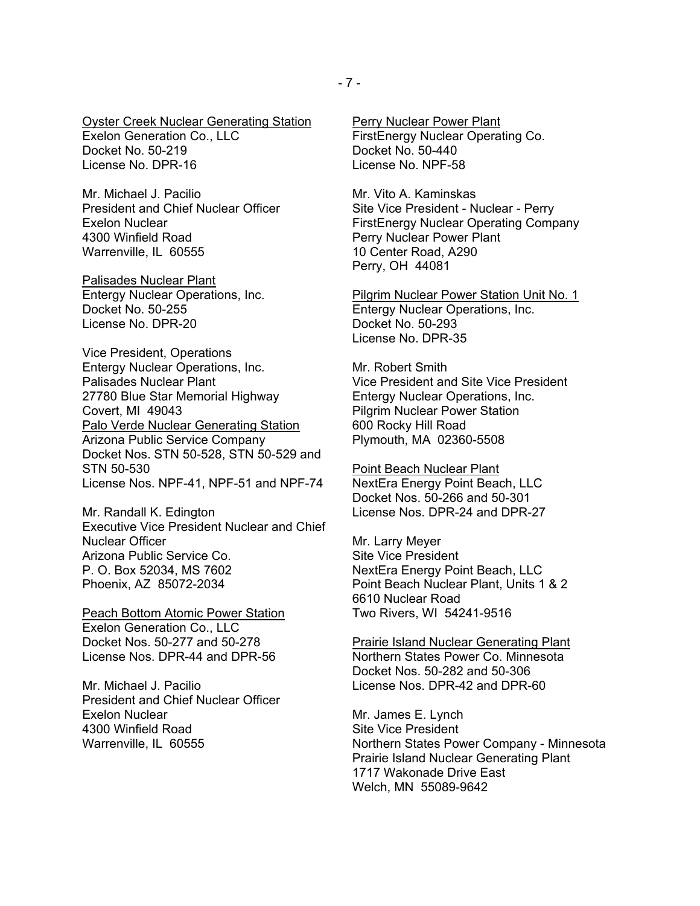Oyster Creek Nuclear Generating Station Exelon Generation Co., LLC Docket No. 50-219 License No. DPR-16

Mr. Michael J. Pacilio President and Chief Nuclear Officer Exelon Nuclear 4300 Winfield Road Warrenville, IL 60555

Palisades Nuclear Plant Entergy Nuclear Operations, Inc. Docket No. 50-255 License No. DPR-20

Vice President, Operations Entergy Nuclear Operations, Inc. Palisades Nuclear Plant 27780 Blue Star Memorial Highway Covert, MI 49043 Palo Verde Nuclear Generating Station Arizona Public Service Company Docket Nos. STN 50-528, STN 50-529 and STN 50-530 License Nos. NPF-41, NPF-51 and NPF-74

Mr. Randall K. Edington Executive Vice President Nuclear and Chief Nuclear Officer Arizona Public Service Co. P. O. Box 52034, MS 7602 Phoenix, AZ 85072-2034

Peach Bottom Atomic Power Station Exelon Generation Co., LLC Docket Nos. 50-277 and 50-278 License Nos. DPR-44 and DPR-56

Mr. Michael J. Pacilio President and Chief Nuclear Officer Exelon Nuclear 4300 Winfield Road Warrenville, IL 60555

Perry Nuclear Power Plant FirstEnergy Nuclear Operating Co. Docket No. 50-440 License No. NPF-58

Mr. Vito A. Kaminskas Site Vice President - Nuclear - Perry FirstEnergy Nuclear Operating Company Perry Nuclear Power Plant 10 Center Road, A290 Perry, OH 44081

Pilgrim Nuclear Power Station Unit No. 1 Entergy Nuclear Operations, Inc. Docket No. 50-293 License No. DPR-35

Mr. Robert Smith Vice President and Site Vice President Entergy Nuclear Operations, Inc. Pilgrim Nuclear Power Station 600 Rocky Hill Road Plymouth, MA 02360-5508

Point Beach Nuclear Plant NextEra Energy Point Beach, LLC Docket Nos. 50-266 and 50-301 License Nos. DPR-24 and DPR-27

Mr. Larry Meyer Site Vice President NextEra Energy Point Beach, LLC Point Beach Nuclear Plant, Units 1 & 2 6610 Nuclear Road Two Rivers, WI 54241-9516

Prairie Island Nuclear Generating Plant Northern States Power Co. Minnesota Docket Nos. 50-282 and 50-306 License Nos. DPR-42 and DPR-60

Mr. James E. Lynch Site Vice President Northern States Power Company - Minnesota Prairie Island Nuclear Generating Plant 1717 Wakonade Drive East Welch, MN 55089-9642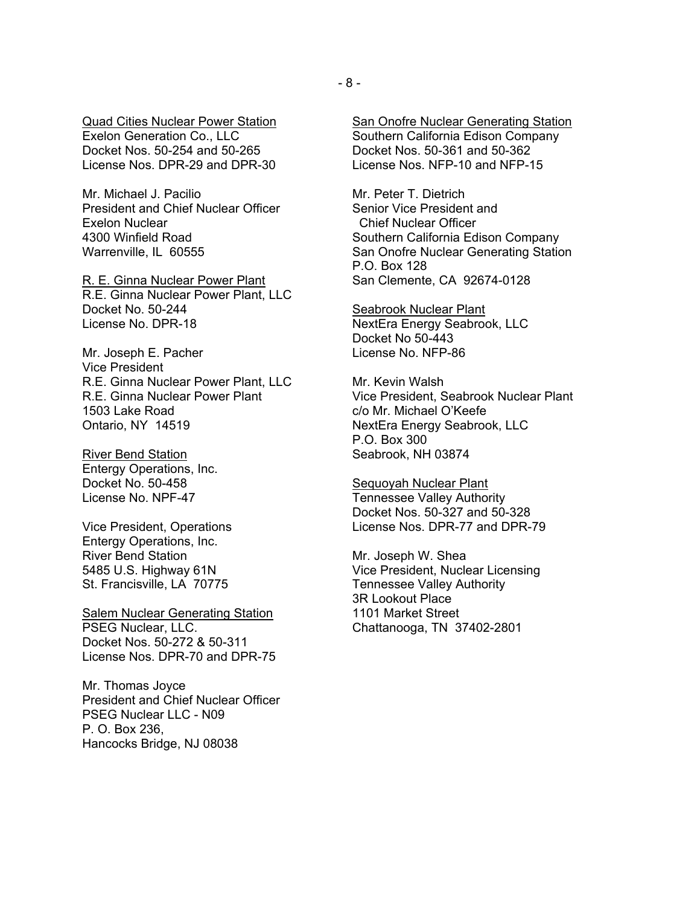Quad Cities Nuclear Power Station Exelon Generation Co., LLC Docket Nos. 50-254 and 50-265 License Nos. DPR-29 and DPR-30

Mr. Michael J. Pacilio President and Chief Nuclear Officer Exelon Nuclear 4300 Winfield Road Warrenville, IL 60555

R. E. Ginna Nuclear Power Plant R.E. Ginna Nuclear Power Plant, LLC Docket No. 50-244 License No. DPR-18

Mr. Joseph E. Pacher Vice President R.E. Ginna Nuclear Power Plant, LLC R.E. Ginna Nuclear Power Plant 1503 Lake Road Ontario, NY 14519

River Bend Station Entergy Operations, Inc. Docket No. 50-458 License No. NPF-47

Vice President, Operations Entergy Operations, Inc. River Bend Station 5485 U.S. Highway 61N St. Francisville, LA 70775

**Salem Nuclear Generating Station** PSEG Nuclear, LLC. Docket Nos. 50-272 & 50-311 License Nos. DPR-70 and DPR-75

Mr. Thomas Joyce President and Chief Nuclear Officer PSEG Nuclear LLC - N09 P. O. Box 236, Hancocks Bridge, NJ 08038

San Onofre Nuclear Generating Station Southern California Edison Company Docket Nos. 50-361 and 50-362 License Nos. NFP-10 and NFP-15

Mr. Peter T. Dietrich Senior Vice President and Chief Nuclear Officer Southern California Edison Company San Onofre Nuclear Generating Station P.O. Box 128 San Clemente, CA 92674-0128

Seabrook Nuclear Plant NextEra Energy Seabrook, LLC Docket No 50-443 License No. NFP-86

Mr. Kevin Walsh Vice President, Seabrook Nuclear Plant c/o Mr. Michael O'Keefe NextEra Energy Seabrook, LLC P.O. Box 300 Seabrook, NH 03874

Sequoyah Nuclear Plant Tennessee Valley Authority Docket Nos. 50-327 and 50-328 License Nos. DPR-77 and DPR-79

Mr. Joseph W. Shea Vice President, Nuclear Licensing Tennessee Valley Authority 3R Lookout Place 1101 Market Street Chattanooga, TN 37402-2801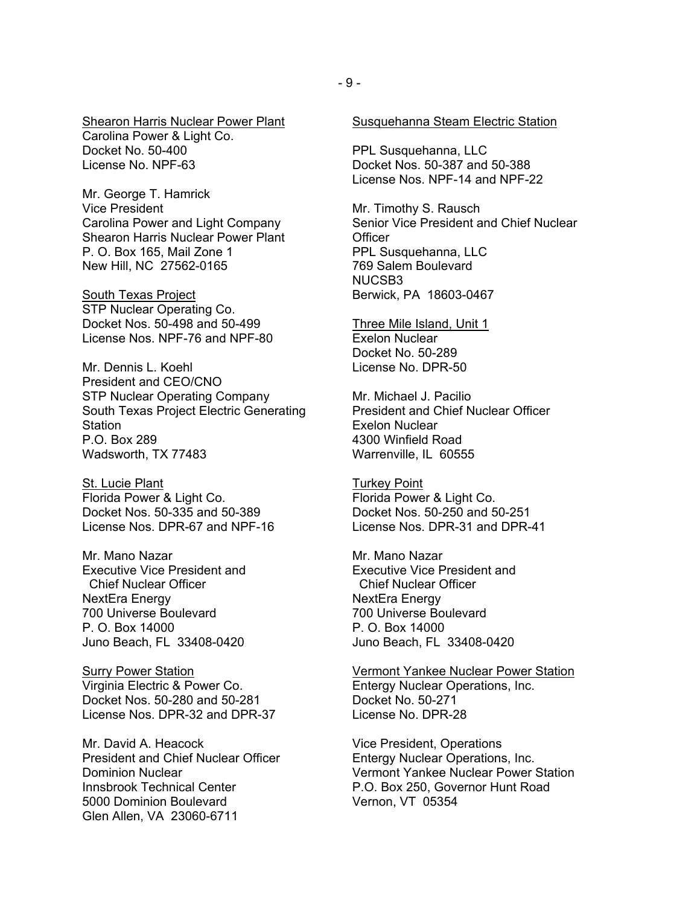**Shearon Harris Nuclear Power Plant** Carolina Power & Light Co. Docket No. 50-400 License No. NPF-63

Mr. George T. Hamrick Vice President Carolina Power and Light Company Shearon Harris Nuclear Power Plant P. O. Box 165, Mail Zone 1 New Hill, NC 27562-0165

**South Texas Project** STP Nuclear Operating Co. Docket Nos. 50-498 and 50-499 License Nos. NPF-76 and NPF-80

Mr. Dennis L. Koehl. President and CEO/CNO STP Nuclear Operating Company South Texas Project Electric Generating Station P.O. Box 289 Wadsworth, TX 77483

St. Lucie Plant Florida Power & Light Co. Docket Nos. 50-335 and 50-389 License Nos. DPR-67 and NPF-16

Mr. Mano Nazar Executive Vice President and Chief Nuclear Officer NextEra Energy 700 Universe Boulevard P. O. Box 14000 Juno Beach, FL 33408-0420

**Surry Power Station** Virginia Electric & Power Co. Docket Nos. 50-280 and 50-281 License Nos. DPR-32 and DPR-37

Mr. David A. Heacock President and Chief Nuclear Officer Dominion Nuclear Innsbrook Technical Center 5000 Dominion Boulevard Glen Allen, VA 23060-6711

PPL Susquehanna, LLC Docket Nos. 50-387 and 50-388 License Nos. NPF-14 and NPF-22

Mr. Timothy S. Rausch Senior Vice President and Chief Nuclear **Officer** PPL Susquehanna, LLC 769 Salem Boulevard NUCSB3 Berwick, PA 18603-0467

Three Mile Island, Unit 1 Exelon Nuclear Docket No. 50-289 License No. DPR-50

Mr. Michael J. Pacilio President and Chief Nuclear Officer Exelon Nuclear 4300 Winfield Road Warrenville, IL 60555

Turkey Point Florida Power & Light Co. Docket Nos. 50-250 and 50-251 License Nos. DPR-31 and DPR-41

Mr. Mano Nazar Executive Vice President and Chief Nuclear Officer NextEra Energy 700 Universe Boulevard P. O. Box 14000 Juno Beach, FL 33408-0420

Vermont Yankee Nuclear Power Station Entergy Nuclear Operations, Inc. Docket No. 50-271 License No. DPR-28

Vice President, Operations Entergy Nuclear Operations, Inc. Vermont Yankee Nuclear Power Station P.O. Box 250, Governor Hunt Road Vernon, VT 05354